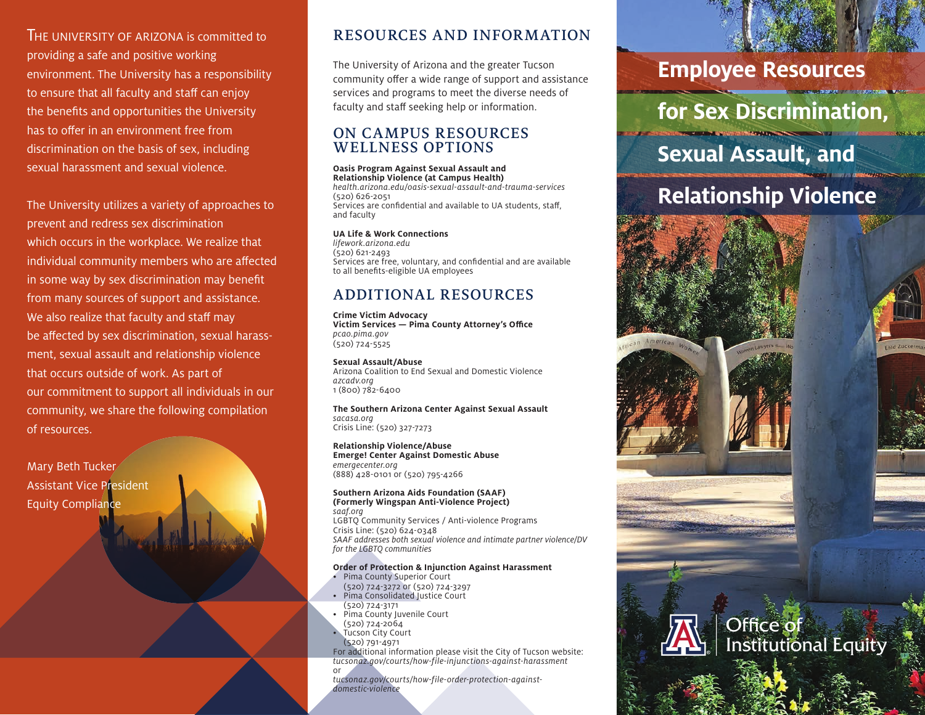THE UNIVERSITY OF ARIZONA is committed to providing a safe and positive working environment. The University has a responsibility to ensure that all faculty and staff can enjoy the benefits and opportunities the University has to offer in an environment free from discrimination on the basis of sex, including sexual harassment and sexual violence.

The University utilizes a variety of approaches to prevent and redress sex discrimination which occurs in the workplace. We realize that individual community members who are affected in some way by sex discrimination may benefit from many sources of support and assistance. We also realize that faculty and staff may be affected by sex discrimination, sexual harassment, sexual assault and relationship violence that occurs outside of work. As part of our commitment to support all individuals in our community, we share the following compilation of resources.

Mary Beth Tucker Assistant Vice President Equity Compliance

### RESOURCES AND INFORMATION

The University of Arizona and the greater Tucson community offer a wide range of support and assistance services and programs to meet the diverse needs of faculty and staff seeking help or information.

### ON CAMPUS RESOURCES WELLNESS OPTIONS

**Oasis Program Against Sexual Assault and Relationship Violence (at Campus Health)** *health.arizona.edu/oasis-sexual-assault-and-trauma-services* (520) 626-2051 Services are confidential and available to UA students, staff, and faculty

**UA Life & Work Connections** *lifework.arizona.edu* (520) 621-2493 Services are free, voluntary, and confidential and are available to all benefits-eligible UA employees

## ADDITIONAL RESOURCES

**Crime Victim Advocacy Victim Services — Pima County Attorney's Office** *pcao.pima.gov* (520) 724-5525

**Sexual Assault/Abuse** Arizona Coalition to End Sexual and Domestic Violence *azcadv.org* 1 (800) 782-6400

**The Southern Arizona Center Against Sexual Assault** *sacasa.org* Crisis Line: (520) 327-7273

**Relationship Violence/Abuse Emerge! Center Against Domestic Abuse** *emergecenter.org* (888) 428-0101 or (520) 795-4266

#### **Southern Arizona Aids Foundation (SAAF) (Formerly Wingspan Anti-Violence Project)** *saaf.org*

LGBTQ Community Services / Anti-violence Programs Crisis Line: (520) 624-0348 *SAAF addresses both sexual violence and intimate partner violence/DV for the LGBTQ communities*

### **Order of Protection & Injunction Against Harassment**

- Pima County Superior Court (520) 724-3272 or (520) 724-3297
- Pima Consolidated Justice Court (520) 724-3171
- Pima County Juvenile Court
- (520) 724-2064
- Tucson City Court
- (520) 791-4971

For additional information please visit the City of Tucson website: *tucsonaz.gov/courts/how-file-injunctions-against-harassment* or

*tucsonaz.gov/courts/how-file-order-protection-againstdomestic-violence*

## **Employee Resources**

**for Sex Discrimination,** 

# **Sexual Assault, and**

# **Relationship Violence**